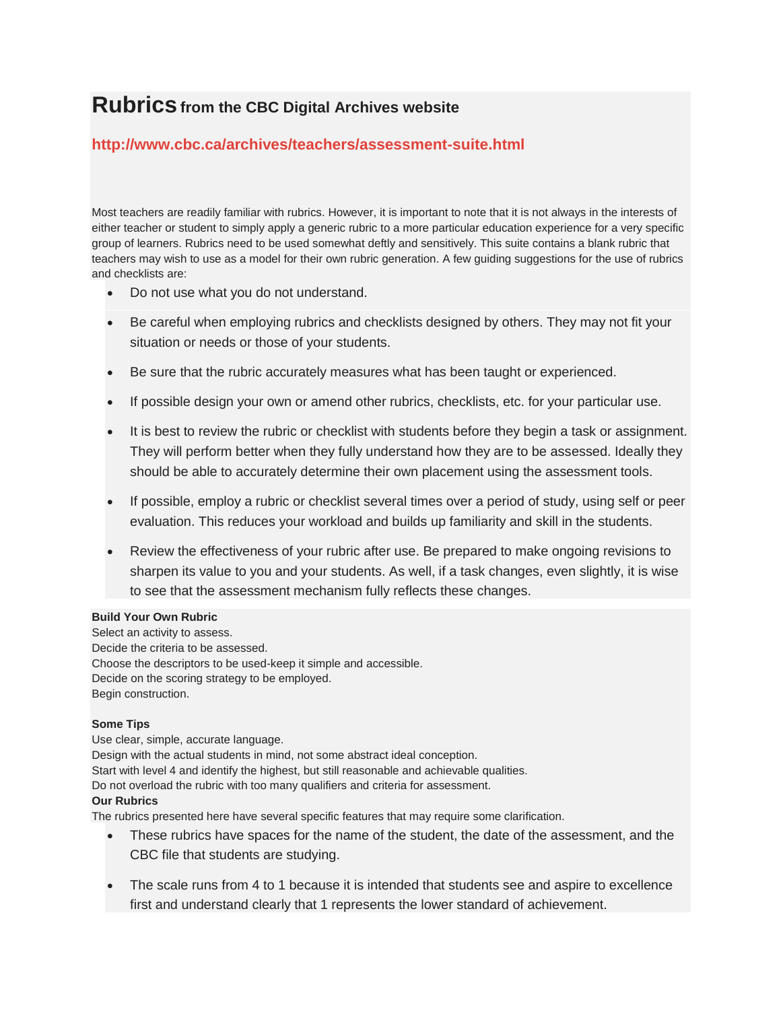# **Rubricsfrom the CBC Digital Archives website**

## **<http://www.cbc.ca/archives/teachers/assessment-suite.html>**

Most teachers are readily familiar with rubrics. However, it is important to note that it is not always in the interests of either teacher or student to simply apply a generic rubric to a more particular education experience for a very specific group of learners. Rubrics need to be used somewhat deftly and sensitively. This suite contains a blank rubric that teachers may wish to use as a model for their own rubric generation. A few guiding suggestions for the use of rubrics and checklists are:

- Do not use what you do not understand.
- Be careful when employing rubrics and checklists designed by others. They may not fit your situation or needs or those of your students.
- Be sure that the rubric accurately measures what has been taught or experienced.
- If possible design your own or amend other rubrics, checklists, etc. for your particular use.
- It is best to review the rubric or checklist with students before they begin a task or assignment. They will perform better when they fully understand how they are to be assessed. Ideally they should be able to accurately determine their own placement using the assessment tools.
- If possible, employ a rubric or checklist several times over a period of study, using self or peer evaluation. This reduces your workload and builds up familiarity and skill in the students.
- Review the effectiveness of your rubric after use. Be prepared to make ongoing revisions to sharpen its value to you and your students. As well, if a task changes, even slightly, it is wise to see that the assessment mechanism fully reflects these changes.

#### **Build Your Own Rubric**

Select an activity to assess. Decide the criteria to be assessed. Choose the descriptors to be used-keep it simple and accessible. Decide on the scoring strategy to be employed. Begin construction.

### **Some Tips**

Use clear, simple, accurate language. Design with the actual students in mind, not some abstract ideal conception. Start with level 4 and identify the highest, but still reasonable and achievable qualities. Do not overload the rubric with too many qualifiers and criteria for assessment. **Our Rubrics**

The rubrics presented here have several specific features that may require some clarification.

- These rubrics have spaces for the name of the student, the date of the assessment, and the CBC file that students are studying.
- The scale runs from 4 to 1 because it is intended that students see and aspire to excellence first and understand clearly that 1 represents the lower standard of achievement.